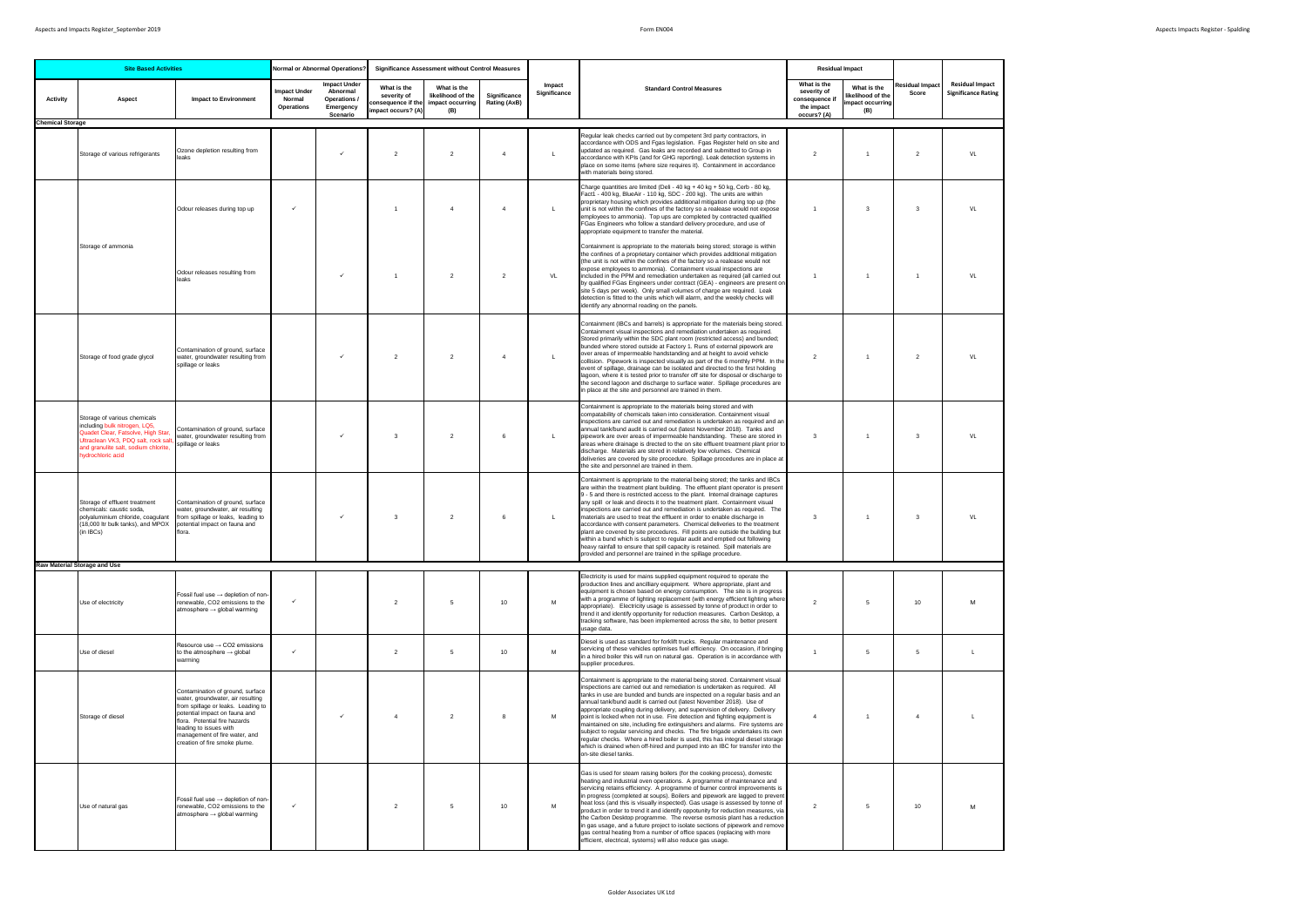| <b>Site Based Activities</b> |                                                                                                                                                                                                        |                                                                                                                                                                                                                                                                           | <b>Normal or Abnormal Operations?</b><br><b>Significance Assessment without Control Measures</b> |                                                                          |                                                 |                                                                                |                              |                        |                                                                                                                                                                                                                                                                                                                                                                                                                                                                                                                                                                                                                                                                                                                                                                                                                                                                                       | <b>Residual Impact</b>                                                    |                                                           |                                 |                                                      |
|------------------------------|--------------------------------------------------------------------------------------------------------------------------------------------------------------------------------------------------------|---------------------------------------------------------------------------------------------------------------------------------------------------------------------------------------------------------------------------------------------------------------------------|--------------------------------------------------------------------------------------------------|--------------------------------------------------------------------------|-------------------------------------------------|--------------------------------------------------------------------------------|------------------------------|------------------------|---------------------------------------------------------------------------------------------------------------------------------------------------------------------------------------------------------------------------------------------------------------------------------------------------------------------------------------------------------------------------------------------------------------------------------------------------------------------------------------------------------------------------------------------------------------------------------------------------------------------------------------------------------------------------------------------------------------------------------------------------------------------------------------------------------------------------------------------------------------------------------------|---------------------------------------------------------------------------|-----------------------------------------------------------|---------------------------------|------------------------------------------------------|
| <b>Activity</b>              | Aspect                                                                                                                                                                                                 | <b>Impact to Environment</b>                                                                                                                                                                                                                                              | <b>Impact Under</b><br>Normal<br><b>Operations</b>                                               | <b>Impact Under</b><br>Abnormal<br>Operations /<br>Emergency<br>Scenario | What is the<br>severity of<br>mpact occurs? (A) | What is the<br>likelihood of the<br>consequence if the impact occurring<br>(B) | Significance<br>Rating (AxB) | Impact<br>Significance | <b>Standard Control Measures</b>                                                                                                                                                                                                                                                                                                                                                                                                                                                                                                                                                                                                                                                                                                                                                                                                                                                      | What is the<br>severity of<br>consequence it<br>the impact<br>occurs? (A) | What is the<br>kelihood of the<br>impact occurring<br>(B) | <b>Residual Impact</b><br>Score | <b>Residual Impact</b><br><b>Significance Rating</b> |
| <b>Chemical Storage</b>      | Storage of various refrigerants                                                                                                                                                                        | Ozone depletion resulting from<br>leaks                                                                                                                                                                                                                                   |                                                                                                  | $\checkmark$                                                             | $\overline{2}$                                  | $\overline{2}$                                                                 | $\overline{4}$               | L                      | Regular leak checks carried out by competent 3rd party contractors, in<br>accordance with ODS and Fgas legislation. Fgas Register held on site and<br>updated as required. Gas leaks are recorded and submitted to Group in<br>accordance with KPIs (and for GHG reporting). Leak detection systems in<br>place on some items (where size requires it). Containment in accordance<br>with materials being stored.                                                                                                                                                                                                                                                                                                                                                                                                                                                                     | 2                                                                         |                                                           | $\overline{2}$                  | VL                                                   |
|                              |                                                                                                                                                                                                        | Odour releases during top up                                                                                                                                                                                                                                              |                                                                                                  |                                                                          | $\overline{1}$                                  | $\overline{4}$                                                                 | $\overline{4}$               | $\mathbf{L}$           | Charge quantities are limited (Deli - 40 kg + 40 kg + 50 kg, Cerb - 80 kg,<br>Fact1 - 400 kg, BlueAir - 110 kg, SDC - 200 kg). The units are within<br>proprietary housing which provides additional mitigation during top up (the<br>unit is not within the confines of the factory so a realease would not expose<br>employees to ammonia). Top ups are completed by contracted qualified<br>FGas Engineers who follow a standard delivery procedure, and use of<br>appropriate equipment to transfer the material.                                                                                                                                                                                                                                                                                                                                                                 | $\overline{1}$                                                            | 3                                                         | $\mathbf{3}$                    | VL                                                   |
|                              | Storage of ammonia                                                                                                                                                                                     | Odour releases resulting from<br>leaks                                                                                                                                                                                                                                    |                                                                                                  | $\checkmark$                                                             | $\mathbf{1}$                                    | $\overline{2}$                                                                 | $\overline{2}$               | VL                     | Containment is appropriate to the materials being stored; storage is within<br>the confines of a proprietary container which provides additional mitigation<br>(the unit is not within the confines of the factory so a realease would not<br>expose employees to ammonia). Containment visual inspections are<br>included in the PPM and remediation undertaken as required (all carried out<br>by qualified FGas Engineers under contract (GEA) - engineers are present on<br>site 5 days per week). Only small volumes of charge are required. Leak<br>detection is fitted to the units which will alarm, and the weekly checks will<br>identify any abnormal reading on the panels.                                                                                                                                                                                               | $\overline{1}$                                                            |                                                           | $\overline{1}$                  | VL                                                   |
|                              | Storage of food grade glycol                                                                                                                                                                           | Contamination of ground, surface<br>water, groundwater resulting from<br>spillage or leaks                                                                                                                                                                                |                                                                                                  |                                                                          | $\overline{2}$                                  | $\overline{2}$                                                                 | $\overline{4}$               | $\mathsf{L}$           | Containment (IBCs and barrels) is appropriate for the materials being stored.<br>Containment visual inspections and remediation undertaken as required.<br>Stored primarily within the SDC plant room (restricted access) and bunded;<br>bunded where stored outside at Factory 1. Runs of external pipework are<br>over areas of impermeable handstanding and at height to avoid vehicle<br>collision. Pipework is inspected visually as part of the 6 monthly PPM. In the<br>event of spillage, drainage can be isolated and directed to the first holding<br>lagoon, where it is tested prior to transfer off site for disposal or discharge to<br>the second lagoon and discharge to surface water. Spillage procedures are<br>in place at the site and personnel are trained in them.                                                                                            | 2                                                                         | $\overline{1}$                                            | 2                               | VL                                                   |
|                              | Storage of various chemicals<br>including bulk nitrogen, LQ5,<br>Quadet Clear, Fatsolve, High Star,<br>Jitraclean VK3, PDQ salt, rock sal<br>and granulite salt, sodium chlorite,<br>hydrochloric acid | Contamination of ground, surface<br>water, groundwater resulting from<br>spillage or leaks                                                                                                                                                                                |                                                                                                  |                                                                          | 3                                               | $\overline{2}$                                                                 | 6                            | $\mathbf{L}$           | Containment is appropriate to the materials being stored and with<br>compatability of chemicals taken into consideration. Containment visual<br>inspections are carried out and remediation is undertaken as required and an<br>annual tank/bund audit is carried out (latest November 2018). Tanks and<br>pipework are over areas of impermeable handstanding. These are stored in<br>areas where drainage is drected to the on site effluent treatment plant prior to<br>discharge. Materials are stored in relatively low volumes. Chemical<br>deliveries are covered by site procedure. Spillage procedures are in place at<br>the site and personnel are trained in them.                                                                                                                                                                                                        | $\mathbf{3}$                                                              | $\overline{1}$                                            | $\mathbf{3}$                    | VL                                                   |
|                              | Storage of effluent treatment<br>chemicals: caustic soda,<br>polyaluminium chloride, coaqulant<br>(18,000 ltr bulk tanks), and MPOX<br>(in IBCs)                                                       | Contamination of ground, surface<br>water, groundwater, air resulting<br>from spillage or leaks, leading to<br>potential impact on fauna and<br>flora.                                                                                                                    |                                                                                                  |                                                                          | 3                                               | $\overline{2}$                                                                 | 6                            | L                      | Containment is appropriate to the material being stored; the tanks and IBCs<br>are within the treatment plant building. The effluent plant operator is present<br>9 - 5 and there is restricted access to the plant. Internal drainage captures<br>any spill or leak and directs it to the treatment plant. Containment visual<br>inspections are carried out and remediation is undertaken as required. The<br>materials are used to treat the effluent in order to enable discharge in<br>accordance with consent parameters. Chemical deliveries to the treatment<br>plant are covered by site procedures. Fill points are outside the building but<br>within a bund which is subject to regular audit and emptied out following<br>heavy rainfall to ensure that spill capacity is retained. Spill materials are<br>provided and personnel are trained in the spillage procedure. | $\overline{\mathbf{3}}$                                                   | $\mathbf{1}$                                              | 3                               | VL                                                   |
|                              | <b>Raw Material Storage and Use</b>                                                                                                                                                                    |                                                                                                                                                                                                                                                                           |                                                                                                  |                                                                          |                                                 |                                                                                |                              |                        |                                                                                                                                                                                                                                                                                                                                                                                                                                                                                                                                                                                                                                                                                                                                                                                                                                                                                       |                                                                           |                                                           |                                 |                                                      |
|                              | Use of electricity                                                                                                                                                                                     | Fossil fuel use $\rightarrow$ depletion of non-<br>renewable, CO2 emissions to the<br>$atmosphere \rightarrow global warning$                                                                                                                                             | $\checkmark$                                                                                     |                                                                          | $\overline{2}$                                  | 5                                                                              | 10                           | M                      | Electricity is used for mains supplied equipment required to operate the<br>production lines and ancilliary equipment. Where appropriate, plant and<br>equipment is chosen based on energy consumption. The site is in progress<br>with a programme of lighting replacement (with energy efficient lighting where<br>appropriate). Electricity usage is assessed by tonne of product in order to<br>trend it and identify opportunity for reduction measures. Carbon Desktop, a<br>tracking software, has been implemented across the site, to better present<br>usage data.                                                                                                                                                                                                                                                                                                          | 2                                                                         | 5                                                         | 10                              | M                                                    |
|                              | Use of diesel                                                                                                                                                                                          | Resource use $\rightarrow$ CO2 emissions<br>to the atmosphere $\rightarrow$ global<br>warming                                                                                                                                                                             | $\checkmark$                                                                                     |                                                                          | $\overline{2}$                                  | 5                                                                              | 10                           | M                      | Diesel is used as standard for forklift trucks. Regular maintenance and<br>servicing of these vehicles optimises fuel efficiency. On occasion, if bringing<br>in a hired boiler this will run on natural gas. Operation is in accordance with<br>supplier procedures.                                                                                                                                                                                                                                                                                                                                                                                                                                                                                                                                                                                                                 | $\overline{1}$                                                            | $\overline{5}$                                            | $\sqrt{5}$                      | $\mathbf{L}$                                         |
|                              | Storage of diesel                                                                                                                                                                                      | Contamination of ground, surface<br>water, groundwater, air resulting<br>from spillage or leaks. Leading to<br>potential impact on fauna and<br>flora. Potential fire hazards<br>leading to issues with<br>management of fire water, and<br>creation of fire smoke plume. |                                                                                                  |                                                                          | $\overline{4}$                                  | $\overline{2}$                                                                 | 8                            | M                      | Containment is appropriate to the material being stored. Containment visual<br>inspections are carried out and remediation is undertaken as required. All<br>tanks in use are bunded and bunds are inspected on a regular basis and an<br>annual tank/bund audit is carried out (latest November 2018). Use of<br>appropriate coupling during delivery, and supervision of delivery. Delivery<br>point is locked when not in use. Fire detection and fighting equipment is<br>maintained on site, including fire extinguishers and alarms. Fire systems are<br>subject to regular servicing and checks. The fire brigade undertakes its own<br>regular checks. Where a hired boiler is used, this has integral diesel storage<br>which is drained when off-hired and pumped into an IBC for transfer into the<br>on-site diesel tanks.                                                | $\overline{4}$                                                            |                                                           | $\overline{4}$                  | L                                                    |
|                              | Use of natural gas                                                                                                                                                                                     | Fossil fuel use $\rightarrow$ depletion of non-<br>renewable, CO2 emissions to the<br>$atmosphere \rightarrow global warning$                                                                                                                                             | $\checkmark$                                                                                     |                                                                          | $\overline{2}$                                  | 5                                                                              | 10                           | M                      | Gas is used for steam raising boilers (for the cooking process), domestic<br>heating and industrial oven operations. A programme of maintenance and<br>servicing retains efficiency. A programme of burner control improvements is<br>in progress (completed at soups). Boilers and pipework are lagged to prevent<br>heat loss (and this is visually inspected). Gas usage is assessed by tonne of<br>product in order to trend it and identify oppotunity for reduction measures, via<br>the Carbon Desktop programme. The reverse osmosis plant has a reduction<br>in gas usage, and a future project to isolate sections of pipework and remove<br>gas central heating from a number of office spaces (replacing with more<br>efficient, electrical, systems) will also reduce gas usage.                                                                                         | $\overline{2}$                                                            | $\overline{5}$                                            | 10                              | M                                                    |

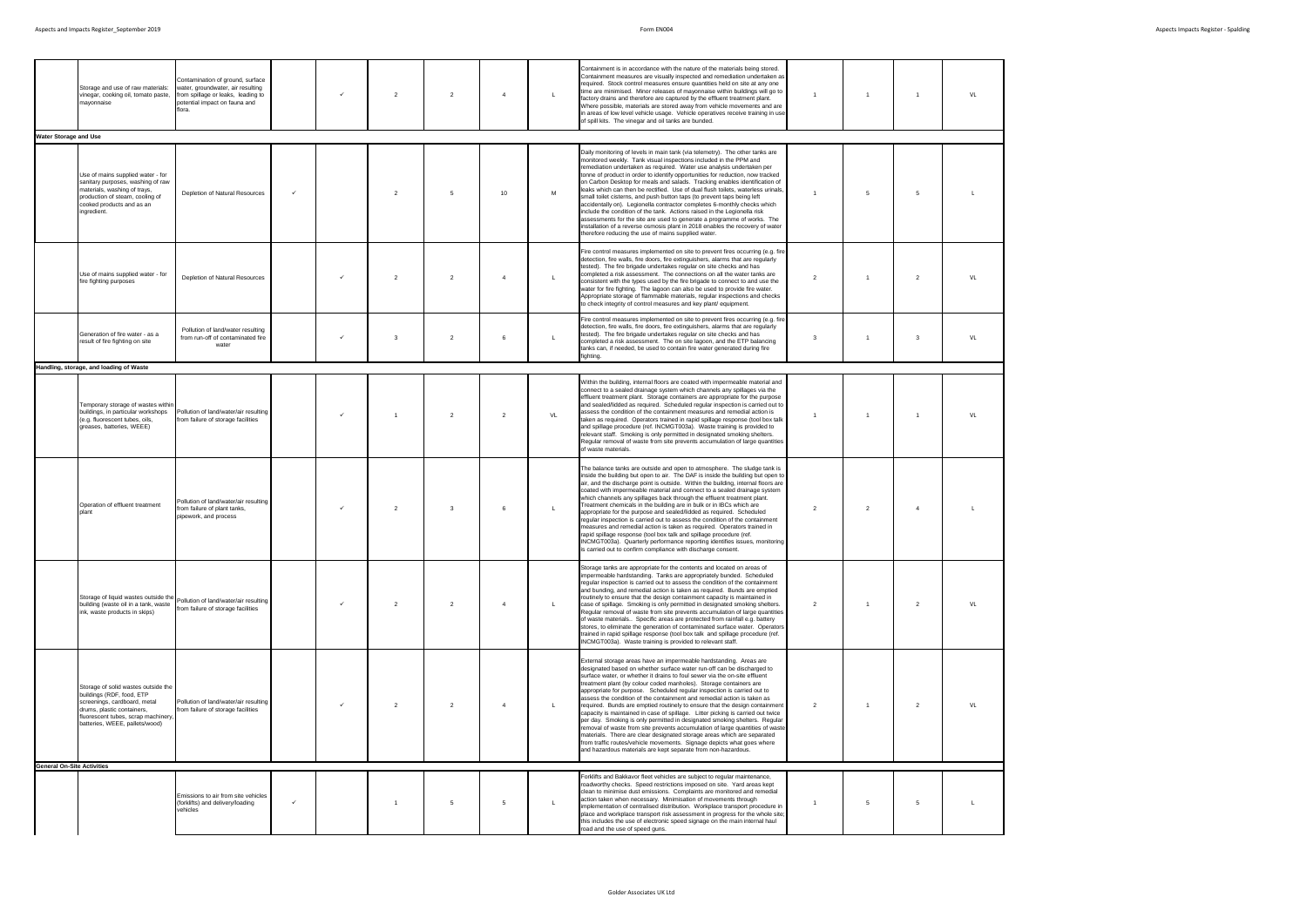|                                   | Storage and use of raw materials:<br>vinegar, cooking oil, tomato paste,<br>mavonnaise                                                                                                                  | Contamination of ground, surface<br>water, groundwater, air resulting<br>from spillage or leaks, leading to<br>potential impact on fauna and<br>flora. |              | $\checkmark$ | $\overline{2}$ | $\overline{2}$          | $\overline{4}$ | $\mathsf{L}$ | Containment is in accordance with the nature of the materials being stored.<br>Containment measures are visually inspected and remediation undertaken as<br>required. Stock control measures ensure quantities held on site at any one<br>time are minimised. Minor releases of mayonnaise within buildings will go to<br>factory drains and therefore are captured by the effluent treatment plant.<br>Where possible, materials are stored away from vehicle movements and are<br>in areas of low level vehicle usage. Vehicle operatives receive training in use<br>of spill kits. The vinegar and oil tanks are bunded.                                                                                                                                                                                                                                                                                                                                                                                   | $\overline{1}$ | $\overline{1}$  |                | VL |
|-----------------------------------|---------------------------------------------------------------------------------------------------------------------------------------------------------------------------------------------------------|--------------------------------------------------------------------------------------------------------------------------------------------------------|--------------|--------------|----------------|-------------------------|----------------|--------------|---------------------------------------------------------------------------------------------------------------------------------------------------------------------------------------------------------------------------------------------------------------------------------------------------------------------------------------------------------------------------------------------------------------------------------------------------------------------------------------------------------------------------------------------------------------------------------------------------------------------------------------------------------------------------------------------------------------------------------------------------------------------------------------------------------------------------------------------------------------------------------------------------------------------------------------------------------------------------------------------------------------|----------------|-----------------|----------------|----|
| <b>Water Storage and Use</b>      |                                                                                                                                                                                                         |                                                                                                                                                        |              |              |                |                         |                |              |                                                                                                                                                                                                                                                                                                                                                                                                                                                                                                                                                                                                                                                                                                                                                                                                                                                                                                                                                                                                               |                |                 |                |    |
|                                   | Use of mains supplied water - for<br>sanitary purposes, washing of raw<br>materials, washing of trays,<br>production of steam, cooling of<br>cooked products and as an<br>ingredient.                   | Depletion of Natural Resources                                                                                                                         | $\checkmark$ |              | $\overline{2}$ | 5                       | 10             | M            | Daily monitoring of levels in main tank (via telemetry). The other tanks are<br>monitored weekly. Tank visual inspections included in the PPM and<br>remediation undertaken as required. Water use analysis undertaken per<br>tonne of product in order to identify opportunities for reduction, now tracked<br>on Carbon Desktop for meals and salads. Tracking enables identification of<br>leaks which can then be rectified. Use of dual flush toilets, waterless urinals.<br>small toilet cisterns, and push button taps (to prevent taps being left<br>accidentally on). Legionella contractor completes 6-monthly checks which<br>include the condition of the tank. Actions raised in the Legionella risk<br>assessments for the site are used to generate a programme of works. The<br>installation of a reverse osmosis plant in 2018 enables the recovery of water<br>therefore reducing the use of mains supplied water.                                                                          | $\overline{1}$ | $5\overline{5}$ | 5              |    |
|                                   | Use of mains supplied water - for<br>fire fighting purposes                                                                                                                                             | Depletion of Natural Resources                                                                                                                         |              |              | $\overline{2}$ | $\overline{2}$          | $\overline{4}$ | $\mathsf{L}$ | Fire control measures implemented on site to prevent fires occurring (e.g. fire<br>detection, fire walls, fire doors, fire extinguishers, alarms that are regularly<br>tested). The fire brigade undertakes regular on site checks and has<br>completed a risk assessment. The connections on all the water tanks are<br>consistent with the types used by the fire brigade to connect to and use the<br>water for fire fighting. The lagoon can also be used to provide fire water.<br>Appropriate storage of flammable materials, regular inspections and checks<br>to check integrity of control measures and key plant/ equipment.                                                                                                                                                                                                                                                                                                                                                                        | $\overline{2}$ | $\overline{1}$  | 2              | VL |
|                                   | Generation of fire water - as a<br>result of fire fighting on site                                                                                                                                      | Pollution of land/water resulting<br>from run-off of contaminated fire<br>water                                                                        |              | $\checkmark$ | 3              | $\overline{2}$          | 6              | L            | Fire control measures implemented on site to prevent fires occurring (e.g. fire<br>detection, fire walls, fire doors, fire extinguishers, alarms that are regularly<br>tested). The fire brigade undertakes regular on site checks and has<br>completed a risk assessment. The on site lagoon, and the ETP balancing<br>tanks can, if needed, be used to contain fire water generated during fire<br>fighting.                                                                                                                                                                                                                                                                                                                                                                                                                                                                                                                                                                                                | $\mathbf{3}$   | $\overline{1}$  | $\mathbf{3}$   | VL |
|                                   | Handling, storage, and loading of Waste                                                                                                                                                                 |                                                                                                                                                        |              |              |                |                         |                |              |                                                                                                                                                                                                                                                                                                                                                                                                                                                                                                                                                                                                                                                                                                                                                                                                                                                                                                                                                                                                               |                |                 |                |    |
|                                   | Temporary storage of wastes withir<br>buildings, in particular workshops<br>(e.g. fluorescent tubes, oils,<br>greases, batteries, WEEE)                                                                 | Pollution of land/water/air resulting<br>from failure of storage facilities                                                                            |              | $\checkmark$ | $\overline{1}$ | $\overline{2}$          | $\overline{2}$ | VL           | Within the building, internal floors are coated with impermeable material and<br>connect to a sealed drainage system which channels any spillages via the<br>effluent treatment plant. Storage containers are appropriate for the purpose<br>and sealed/lidded as required. Scheduled reqular inspection is carried out to<br>assess the condition of the containment measures and remedial action is<br>taken as required. Operators trained in rapid spillage response (tool box talk<br>and spillage procedure (ref. INCMGT003a). Waste training is provided to<br>relevant staff. Smoking is only permitted in designated smoking shelters.<br>Regular removal of waste from site prevents accumulation of large quantities<br>of waste materials.                                                                                                                                                                                                                                                        | $\overline{1}$ | $\overline{1}$  | $\overline{1}$ | VL |
| plant                             | Operation of effluent treatment                                                                                                                                                                         | Pollution of land/water/air resulting<br>from failure of plant tanks,<br>pipework, and process                                                         |              | $\checkmark$ | $\overline{2}$ | $\overline{\mathbf{3}}$ | 6              | L            | The balance tanks are outside and open to atmosphere. The sludge tank is<br>inside the building but open to air. The DAF is inside the building but open to<br>air, and the discharge point is outside. Within the building, internal floors are<br>coated with impermeable material and connect to a sealed drainage system<br>which channels any spillages back through the effluent treatment plant.<br>Treatment chemicals in the building are in bulk or in IBCs which are<br>appropriate for the purpose and sealed/lidded as required. Scheduled<br>regular inspection is carried out to assess the condition of the containment<br>measures and remedial action is taken as required. Operators trained in<br>rapid spillage response (tool box talk and spillage procedure (ref.<br>INCMGT003a). Quarterly performance reporting identifies issues, monitoring<br>s carried out to confirm compliance with discharge consent.                                                                        | $\overline{2}$ | 2               | $\overline{4}$ |    |
|                                   | Storage of liquid wastes outside the<br>building (waste oil in a tank, waste<br>ink, waste products in skips)                                                                                           | Pollution of land/water/air resulting<br>from failure of storage facilities                                                                            |              | $\checkmark$ | $\overline{2}$ | $\overline{2}$          | $\overline{4}$ | $\mathsf{L}$ | Storage tanks are appropriate for the contents and located on areas of<br>impermeable hardstanding. Tanks are appropriately bunded. Scheduled<br>regular inspection is carried out to assess the condition of the containment<br>and bunding, and remedial action is taken as required. Bunds are emptied<br>routinely to ensure that the design containment capacity is maintained in<br>case of spillage. Smoking is only permitted in designated smoking shelters.<br>Regular removal of waste from site prevents accumulation of large quantities<br>of waste materials Specific areas are protected from rainfall e.g. battery<br>stores, to eliminate the generation of contaminated surface water. Operators<br>trained in rapid spillage response (tool box talk and spillage procedure (ref.<br>INCMGT003a). Waste training is provided to relevant staff.                                                                                                                                           | 2              | $\overline{1}$  | 2              | VL |
|                                   | Storage of solid wastes outside the<br>buildings (RDF, food, ETP<br>screenings, cardboard, metal<br>drums, plastic containers,<br>fluorescent tubes, scrap machinery,<br>batteries, WEEE, pallets/wood) | Pollution of land/water/air resulting<br>from failure of storage facilities                                                                            |              |              | $\overline{2}$ | $\overline{2}$          | $\overline{4}$ | L            | External storage areas have an impermeable hardstanding. Areas are<br>designated based on whether surface water run-off can be discharged to<br>surface water, or whether it drains to foul sewer via the on-site effluent<br>treatment plant (by colour coded manholes). Storage containers are<br>appropriate for purpose. Scheduled regular inspection is carried out to<br>assess the condition of the containment and remedial action is taken as<br>required. Bunds are emptied routinely to ensure that the design containment<br>capacity is maintained in case of spillage. Litter picking is carried out twice<br>per day. Smoking is only permitted in designated smoking shelters. Regular<br>removal of waste from site prevents accumulation of large quantities of waste<br>materials. There are clear designated storage areas which are separated<br>from traffic routes/vehicle movements. Signage depicts what goes where<br>and hazardous materials are kept separate from non-hazardous. | $\overline{2}$ | $\overline{1}$  | $\overline{2}$ | VL |
| <b>General On-Site Activities</b> |                                                                                                                                                                                                         |                                                                                                                                                        |              |              |                |                         |                |              |                                                                                                                                                                                                                                                                                                                                                                                                                                                                                                                                                                                                                                                                                                                                                                                                                                                                                                                                                                                                               |                |                 |                |    |
|                                   |                                                                                                                                                                                                         | Emissions to air from site vehicles<br>(forklifts) and delivery/loading<br>vehicles                                                                    | $\checkmark$ |              |                | 5                       | 5              | L            | Forklifts and Bakkavor fleet vehicles are subject to regular maintenance,<br>roadworthy checks. Speed restrictions imposed on site. Yard areas kept<br>clean to minimise dust emissions. Complaints are monitored and remedial<br>action taken when necessary. Minimisation of movements through<br>implementation of centralised distribution. Workplace transport procedure in<br>place and workplace transport risk assessment in progress for the whole site;<br>this includes the use of electronic speed signage on the main internal haul<br>road and the use of speed guns.                                                                                                                                                                                                                                                                                                                                                                                                                           |                | 5               | 5              |    |
|                                   |                                                                                                                                                                                                         |                                                                                                                                                        |              |              |                |                         |                |              |                                                                                                                                                                                                                                                                                                                                                                                                                                                                                                                                                                                                                                                                                                                                                                                                                                                                                                                                                                                                               |                |                 |                |    |